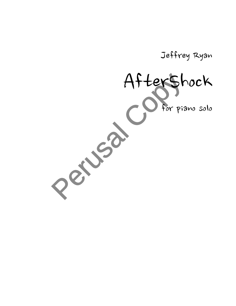Jeffrey Ryan

Aftershock<br>Color piano solo

 $s^{s^{\prime}}$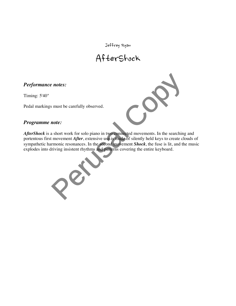Jeffrey Ryan

## AfterShock

## *Performance notes:*

Timing: 5'40"

Pedal markings must be carefully observed.

## *Programme note:*

Perudical Contexts:<br>
In the carefully observed.<br>
note:<br>
a short work for solo piano in two connected movements. In the searching<br>
movement After, extensive use is made of silently held keys to create cle<br>
riving insistent *AfterShock* is a short work for solo piano in two connected movements. In the searching and portentous first movement *After*, extensive use is made of silently held keys to create clouds of sympathetic harmonic resonances. In the second movement *Shock*, the fuse is lit, and the music explodes into driving insistent rhythms and patterns covering the entire keyboard.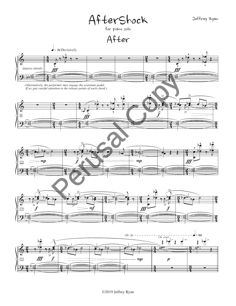AfterShock<br>for piano solo<br>After

Jeffrey Ryan



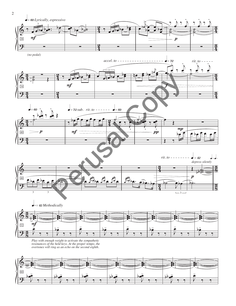

*resonances of the held keys. At the proper tempo, the overtones will ring as an echo on the second eighth.*

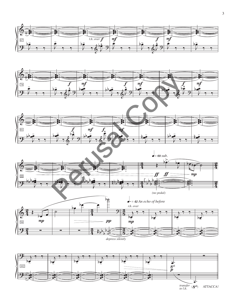









 $\overline{p_{\bullet}}$  $\overline{b}$  $\overrightarrow{\mathbf{p}}$  $\overline{p_{\bullet}}$  $\overline{b}$  $\flat$  $b$ 102

transfer  $(\mathcal{S}^{vb})$  to l.h.  $\Lambda\!T\!A\!C\!C\!A!$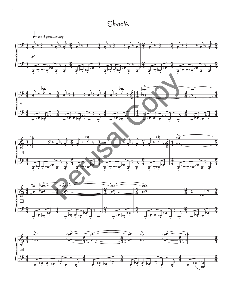Shock









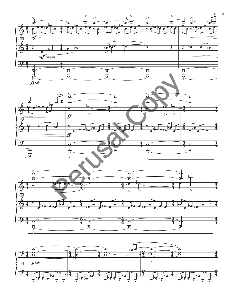



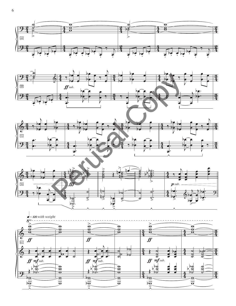